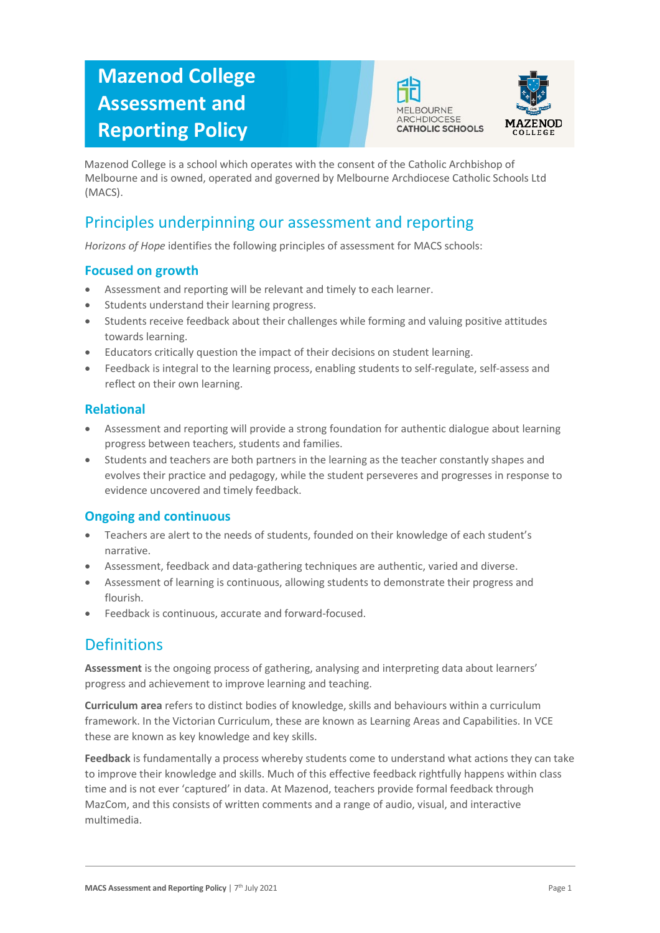# **Mazenod College Assessment and Reporting Policy**





Mazenod College is a school which operates with the consent of the Catholic Archbishop of Melbourne and is owned, operated and governed by Melbourne Archdiocese Catholic Schools Ltd (MACS).

## Principles underpinning our assessment and reporting

*Horizons of Hope* identifies the following principles of assessment for MACS schools:

#### **Focused on growth**

- Assessment and reporting will be relevant and timely to each learner.
- Students understand their learning progress.
- Students receive feedback about their challenges while forming and valuing positive attitudes towards learning.
- Educators critically question the impact of their decisions on student learning.
- Feedback is integral to the learning process, enabling students to self-regulate, self-assess and reflect on their own learning.

#### **Relational**

- Assessment and reporting will provide a strong foundation for authentic dialogue about learning progress between teachers, students and families.
- Students and teachers are both partners in the learning as the teacher constantly shapes and evolves their practice and pedagogy, while the student perseveres and progresses in response to evidence uncovered and timely feedback.

#### **Ongoing and continuous**

- Teachers are alert to the needs of students, founded on their knowledge of each student's narrative.
- Assessment, feedback and data-gathering techniques are authentic, varied and diverse.
- Assessment of learning is continuous, allowing students to demonstrate their progress and flourish.
- Feedback is continuous, accurate and forward-focused.

### **Definitions**

**Assessment** is the ongoing process of gathering, analysing and interpreting data about learners' progress and achievement to improve learning and teaching.

**Curriculum area** refers to distinct bodies of knowledge, skills and behaviours within a curriculum framework. In the Victorian Curriculum, these are known as Learning Areas and Capabilities. In VCE these are known as key knowledge and key skills.

**Feedback** is fundamentally a process whereby students come to understand what actions they can take to improve their knowledge and skills. Much of this effective feedback rightfully happens within class time and is not ever 'captured' in data. At Mazenod, teachers provide formal feedback through MazCom, and this consists of written comments and a range of audio, visual, and interactive multimedia.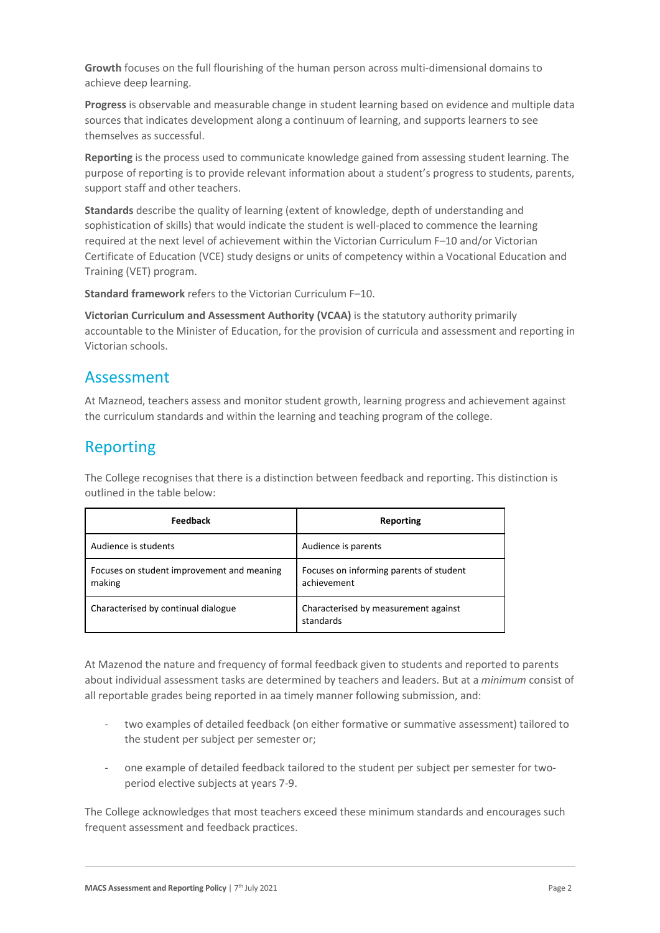**Growth** focuses on the full flourishing of the human person across multi-dimensional domains to achieve deep learning.

**Progress** is observable and measurable change in student learning based on evidence and multiple data sources that indicates development along a continuum of learning, and supports learners to see themselves as successful.

**Reporting** is the process used to communicate knowledge gained from assessing student learning. The purpose of reporting is to provide relevant information about a student's progress to students, parents, support staff and other teachers.

**Standards** describe the quality of learning (extent of knowledge, depth of understanding and sophistication of skills) that would indicate the student is well-placed to commence the learning required at the next level of achievement within the Victorian Curriculum F–10 and/or Victorian Certificate of Education (VCE) study designs or units of competency within a Vocational Education and Training (VET) program.

**Standard framework** refers to the Victorian Curriculum F–10.

**Victorian Curriculum and Assessment Authority (VCAA)** is the statutory authority primarily accountable to the Minister of Education, for the provision of curricula and assessment and reporting in Victorian schools.

### Assessment

At Mazneod, teachers assess and monitor student growth, learning progress and achievement against the curriculum standards and within the learning and teaching program of the college.

### Reporting

The College recognises that there is a distinction between feedback and reporting. This distinction is outlined in the table below:

| <b>Feedback</b>                                      | Reporting                                              |
|------------------------------------------------------|--------------------------------------------------------|
| Audience is students                                 | Audience is parents                                    |
| Focuses on student improvement and meaning<br>making | Focuses on informing parents of student<br>achievement |
| Characterised by continual dialogue                  | Characterised by measurement against<br>standards      |

At Mazenod the nature and frequency of formal feedback given to students and reported to parents about individual assessment tasks are determined by teachers and leaders. But at a *minimum* consist of all reportable grades being reported in aa timely manner following submission, and:

- two examples of detailed feedback (on either formative or summative assessment) tailored to the student per subject per semester or;
- one example of detailed feedback tailored to the student per subject per semester for twoperiod elective subjects at years 7-9.

The College acknowledges that most teachers exceed these minimum standards and encourages such frequent assessment and feedback practices.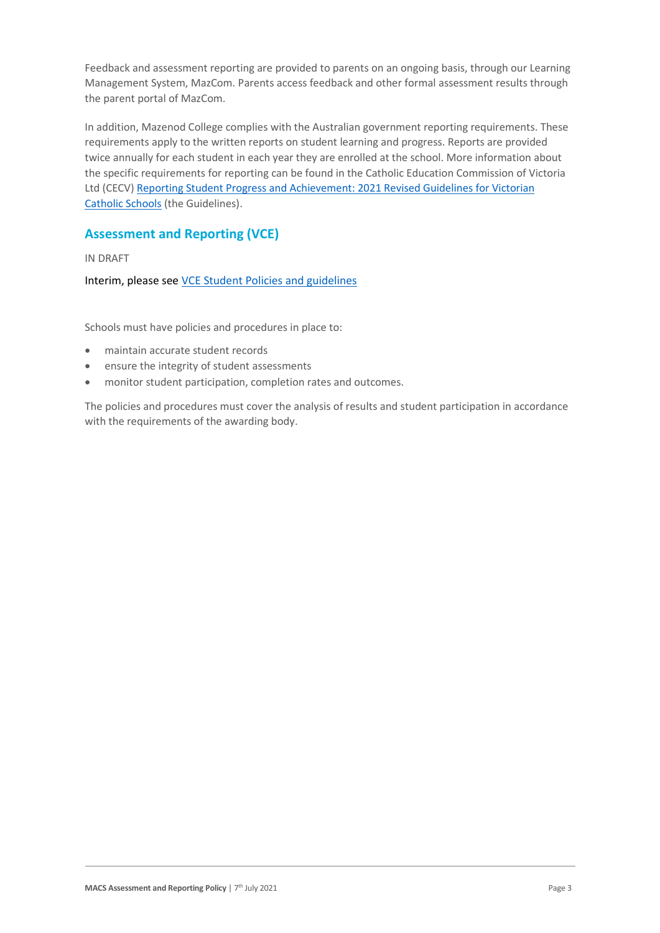Feedback and assessment reporting are provided to parents on an ongoing basis, through our Learning Management System, MazCom. Parents access feedback and other formal assessment results through the parent portal of MazCom.

In addition, Mazenod College complies with the Australian government reporting requirements. These requirements apply to the written reports on student learning and progress. Reports are provided twice annually for each student in each year they are enrolled at the school. More information about the specific requirements for reporting can be found in the Catholic Education Commission of Victoria Ltd (CECV[\) Reporting Student Progress and Achievement: 2021 Revised Guidelines for Victorian](https://cevn.cecv.catholic.edu.au/MelbourneDiocese/Document-File/Curriculum/Reporting/CECV-2019-Revised-Student-Reporting-Guidelines.aspx)  [Catholic Schools](https://cevn.cecv.catholic.edu.au/MelbourneDiocese/Document-File/Curriculum/Reporting/CECV-2019-Revised-Student-Reporting-Guidelines.aspx) (the Guidelines).

### **Assessment and Reporting (VCE)**

IN DRAFT

Interim, please se[e VCE Student Policies and guidelines](https://mazcom.mazenod.vic.edu.au/homepage/2612)

Schools must have policies and procedures in place to:

- maintain accurate student records
- ensure the integrity of student assessments
- monitor student participation, completion rates and outcomes.

The policies and procedures must cover the analysis of results and student participation in accordance with the requirements of the awarding body.